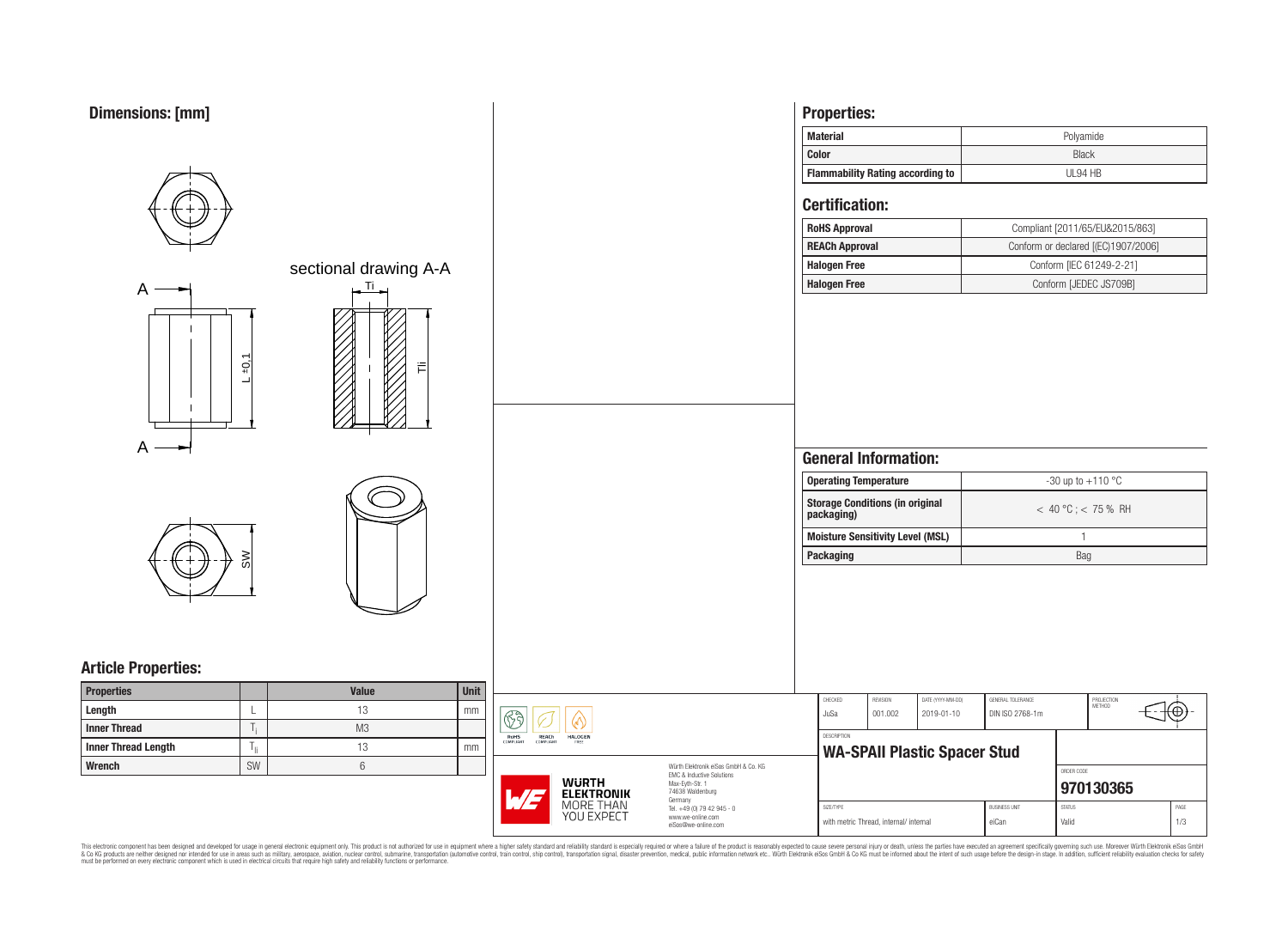

| <b>Dimensions: [mm]</b>    |                          |                                                                         |                                                                   | <b>Properties:</b>                                   |                                     |                       |                                          |                 |
|----------------------------|--------------------------|-------------------------------------------------------------------------|-------------------------------------------------------------------|------------------------------------------------------|-------------------------------------|-----------------------|------------------------------------------|-----------------|
|                            |                          |                                                                         |                                                                   | <b>Material</b>                                      |                                     |                       | Polyamide                                |                 |
|                            |                          |                                                                         |                                                                   | <b>Color</b>                                         |                                     |                       | <b>Black</b>                             |                 |
|                            |                          |                                                                         |                                                                   | <b>Flammability Rating according to</b>              |                                     |                       | UL94 HB                                  |                 |
|                            |                          |                                                                         |                                                                   | <b>Certification:</b>                                |                                     |                       |                                          |                 |
|                            |                          |                                                                         |                                                                   | <b>RoHS Approval</b>                                 |                                     |                       | Compliant [2011/65/EU&2015/863]          |                 |
|                            |                          |                                                                         |                                                                   | <b>REACh Approval</b>                                |                                     |                       | Conform or declared [(EC)1907/2006]      |                 |
|                            | sectional drawing A-A    |                                                                         |                                                                   | <b>Halogen Free</b>                                  |                                     |                       | Conform [IEC 61249-2-21]                 |                 |
| $\mathsf{A}$               | $\mathbf{u}$ .           |                                                                         |                                                                   | <b>Halogen Free</b>                                  |                                     |                       | Conform [JEDEC JS709B]                   |                 |
| $A \rightarrow$            | $+0,1$                   |                                                                         |                                                                   |                                                      |                                     |                       |                                          |                 |
|                            |                          |                                                                         |                                                                   | <b>General Information:</b>                          |                                     |                       |                                          |                 |
|                            |                          |                                                                         |                                                                   | <b>Operating Temperature</b>                         |                                     |                       | -30 up to +110 $^{\circ}$ C              |                 |
|                            |                          |                                                                         |                                                                   | <b>Storage Conditions (in original</b><br>packaging) |                                     |                       | $< 40 °C$ ; $< 75 %$ RH                  |                 |
|                            |                          |                                                                         |                                                                   | <b>Moisture Sensitivity Level (MSL)</b>              |                                     | $\mathbf{1}$          |                                          |                 |
| ≳                          |                          |                                                                         |                                                                   | <b>Packaging</b>                                     | Bag                                 |                       |                                          |                 |
|                            |                          |                                                                         |                                                                   |                                                      |                                     |                       |                                          |                 |
| <b>Article Properties:</b> |                          |                                                                         |                                                                   |                                                      |                                     |                       |                                          |                 |
| Properties                 | Unit<br>Value            |                                                                         |                                                                   | CHECKED<br>REVISION                                  | DATE (YYYY-MM-DD)                   | GENERAL TOLERANCE     |                                          |                 |
| Length                     | 13<br>mm                 | $\circledS$<br>                                                         |                                                                   | JuSa                                                 | 001.002<br>2019-01-10               | DIN ISO 2768-1m       | PROJECTION<br>METHOD<br>€ <del>1</del> ⊕ |                 |
| <b>Inner Thread</b>        | M3<br>T,                 | <b>ROHS</b><br>COMPLIANT<br><b>REACH</b><br>COMPLIANT<br><b>HALOGEN</b> |                                                                   | DESCRIPTION                                          |                                     |                       |                                          |                 |
| <b>Inner Thread Length</b> | 13<br>$T_{\rm ii}$<br>mm |                                                                         |                                                                   |                                                      | <b>WA-SPAII Plastic Spacer Stud</b> |                       |                                          |                 |
| Wrench                     | SW<br>$6\,$              |                                                                         | Würth Elektronik eiSos GmbH & Co. KG<br>EMC & Inductive Solutions |                                                      |                                     |                       | ORDER CODE                               |                 |
|                            |                          | <b>WURTH<br/>ELEKTRONIK</b>                                             | Max-Eyth-Str. 1<br>74638 Waldenburg                               |                                                      |                                     | 970130365             |                                          |                 |
|                            |                          | 1/5<br>MORE THAN<br>YOU EXPECT                                          | Germany<br>Tel. +49 (0) 79 42 945 - 0                             | SIZE/TYPE                                            |                                     | <b>BUSINESS UNIT</b>  | <b>STATUS</b>                            | $\mathsf{PAGE}$ |
|                            |                          |                                                                         | www.we-online.com<br>eiSos@we-online.com                          | with metric Thread, internal/ internal               |                                     | 1/3<br>eiCan<br>Valid |                                          |                 |

This electronic component has been designed and developed for usage in general electronic equipment only. This product is not authorized for subserved requipment where a higher selection equipment where a higher selection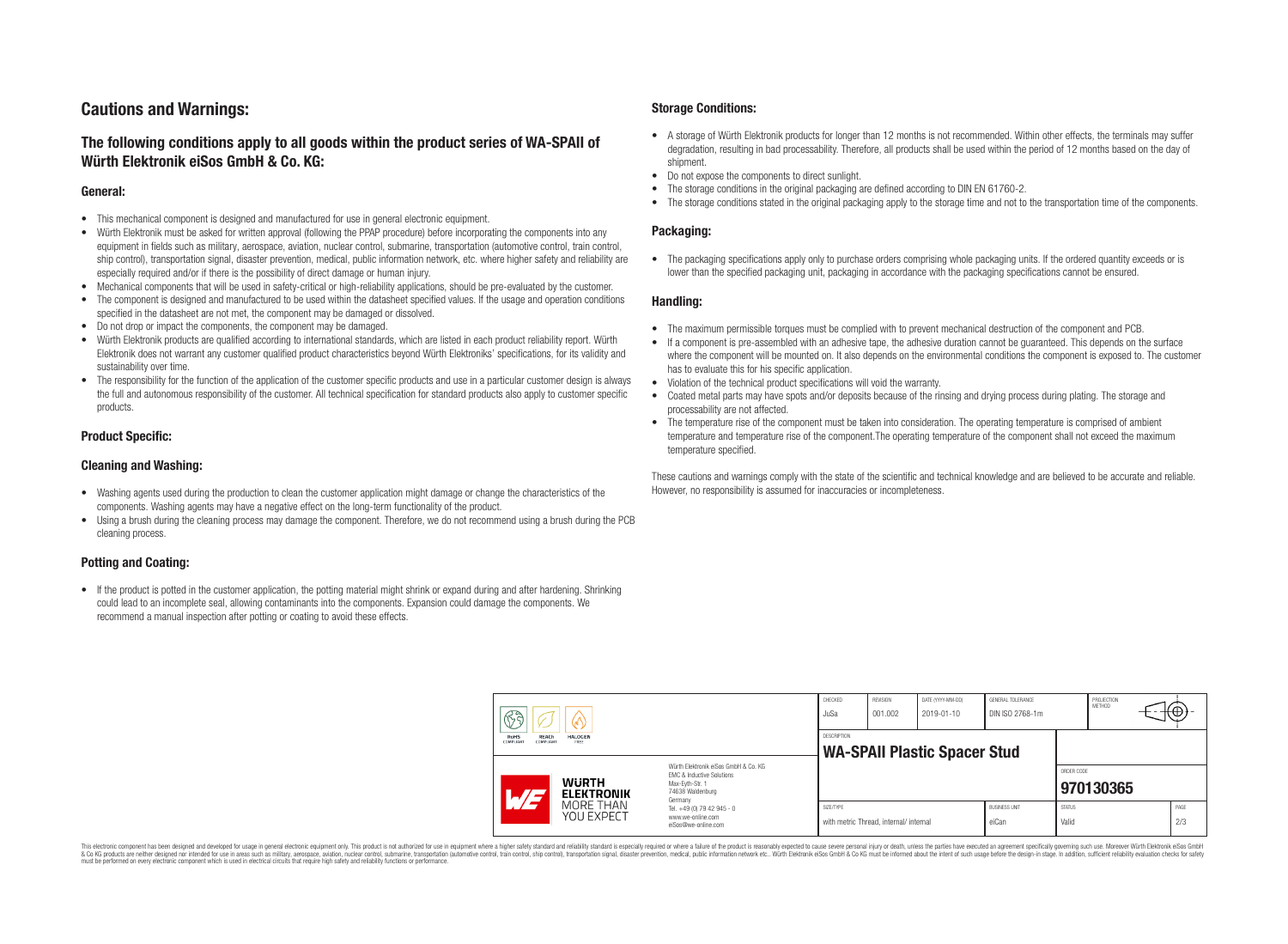# **Cautions and Warnings:**

# **The following conditions apply to all goods within the product series of WA-SPAII of Würth Elektronik eiSos GmbH & Co. KG:**

### **General:**

- This mechanical component is designed and manufactured for use in general electronic equipment.
- Würth Elektronik must be asked for written approval (following the PPAP procedure) before incorporating the components into any equipment in fields such as military, aerospace, aviation, nuclear control, submarine, transportation (automotive control, train control, ship control), transportation signal, disaster prevention, medical, public information network, etc. where higher safety and reliability are especially required and/or if there is the possibility of direct damage or human injury.
- Mechanical components that will be used in safety-critical or high-reliability applications, should be pre-evaluated by the customer.
- The component is designed and manufactured to be used within the datasheet specified values. If the usage and operation conditions specified in the datasheet are not met, the component may be damaged or dissolved.
- Do not drop or impact the components, the component may be damaged.<br>• Wirth Elektronik products are qualified according to international standard
- Würth Elektronik products are qualified according to international standards, which are listed in each product reliability report. Würth Elektronik does not warrant any customer qualified product characteristics beyond Würth Elektroniks' specifications, for its validity and sustainability over time.
- The responsibility for the function of the application of the customer specific products and use in a particular customer design is always the full and autonomous responsibility of the customer. All technical specification for standard products also apply to customer specific products.

### **Product Specific:**

### **Cleaning and Washing:**

- Washing agents used during the production to clean the customer application might damage or change the characteristics of the components. Washing agents may have a negative effect on the long-term functionality of the product.
- Using a brush during the cleaning process may damage the component. Therefore, we do not recommend using a brush during the PCB cleaning process.

## **Potting and Coating:**

• If the product is potted in the customer application, the potting material might shrink or expand during and after hardening. Shrinking could lead to an incomplete seal, allowing contaminants into the components. Expansion could damage the components. We recommend a manual inspection after potting or coating to avoid these effects.

### **Storage Conditions:**

- A storage of Würth Elektronik products for longer than 12 months is not recommended. Within other effects, the terminals may suffer degradation, resulting in bad processability. Therefore, all products shall be used within the period of 12 months based on the day of shipment.
- Do not expose the components to direct sunlight.<br>• The storage conditions in the original packaging
- The storage conditions in the original packaging are defined according to DIN EN 61760-2.
- The storage conditions stated in the original packaging apply to the storage time and not to the transportation time of the components.

### **Packaging:**

• The packaging specifications apply only to purchase orders comprising whole packaging units. If the ordered quantity exceeds or is lower than the specified packaging unit, packaging in accordance with the packaging specifications cannot be ensured.

### **Handling:**

- The maximum permissible torques must be complied with to prevent mechanical destruction of the component and PCB.
- If a component is pre-assembled with an adhesive tape, the adhesive duration cannot be guaranteed. This depends on the surface where the component will be mounted on. It also depends on the environmental conditions the component is exposed to. The customer has to evaluate this for his specific application.
- Violation of the technical product specifications will void the warranty.
- Coated metal parts may have spots and/or deposits because of the rinsing and drying process during plating. The storage and processability are not affected.
- The temperature rise of the component must be taken into consideration. The operating temperature is comprised of ambient temperature and temperature rise of the component.The operating temperature of the component shall not exceed the maximum temperature specified.

These cautions and warnings comply with the state of the scientific and technical knowledge and are believed to be accurate and reliable. However, no responsibility is assumed for inaccuracies or incompleteness.

| $\mathbb{R}$ a<br>w |                                                                                                                         |                                   | CHECKED<br>JuSa                                                             | <b>REVISION</b><br>001.002                         | DATE (YYYY-MM-DD)<br>2019-01-10        | GENERAL TOLERANCE<br>DIN ISO 2768-1m |                               | PROJECTION<br><b>METHOD</b> |           | <del>⊣(⊕)</del> - |             |
|---------------------|-------------------------------------------------------------------------------------------------------------------------|-----------------------------------|-----------------------------------------------------------------------------|----------------------------------------------------|----------------------------------------|--------------------------------------|-------------------------------|-----------------------------|-----------|-------------------|-------------|
|                     | <b>REACh</b><br><b>HALOGEN</b><br><b>RoHS</b><br>COMPLIANT<br>COMPLIANT<br>FREE<br>Würth Elektronik eiSos GmbH & Co. KG |                                   |                                                                             | DESCRIPTION<br><b>WA-SPAII Plastic Spacer Stud</b> |                                        |                                      |                               |                             |           |                   |             |
|                     | $\overline{\phantom{a}}$                                                                                                | <b>WURTH</b><br><b>ELEKTRONIK</b> | EMC & Inductive Solutions<br>Max-Evth-Str. 1<br>74638 Waldenburg<br>Germany |                                                    |                                        |                                      |                               | ORDER CODE                  | 970130365 |                   |             |
|                     |                                                                                                                         | MORE THAN<br>YOU EXPECT           | Tel. +49 (0) 79 42 945 - 0<br>www.we-online.com<br>eiSos@we-online.com      | SIZE/TYPE                                          | with metric Thread, internal/ internal |                                      | <b>BUSINESS UNIT</b><br>eiCan | <b>STATUS</b><br>Valid      |           |                   | PAGE<br>2/3 |

This electronic component has been designed and developed for usage in general electronic equipment only. This product is not authorized for use in equipment where a higher safety standard and reliability standard si espec & Ook product a label and the membed of the seasuch as marked and as which such a membed and the such assume that income in the seasuch and the simulation and the such assume that include to the such a membed and the such